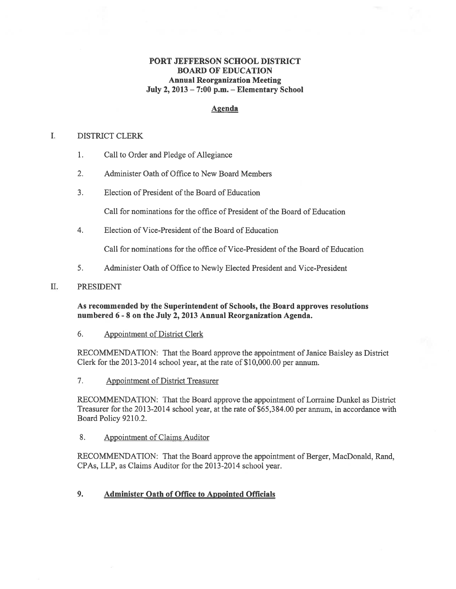# PORT JEFFERSON SCHOOL DISTRICT BOARD OF EDUCATION Annual Reorganization Meeting July 2, 2013 — 7:00 p.m. — Elementary School

# Agenda

#### L. DISTRICT CLERK

- 1. Call to Order and Pledge of Allegiance
- 2. Administer Oath of Office to New Board Members
- 3. Election of President of the Board of Education

Call for nominations for the office of President of the Board of Education

4. Election of Vice-President of the Board of Education

Call for nominations for the office of Vice-President ofthe Board of Education

5. Administer Oath of Office to Newly Elected President and Vice-President

## II. PRESIDENT

## As recommended by the Superintendent of Schools, the Board approves resolutions numbered 6 - 8 on the July 2, 2013 Annual Reorganization Agenda.

### 6. Appointment of District Clerk

RECOMMENDATION: That the Board approve the appointment of Janice Baisley as District Clerk for the 2013-2014 school year, at the rate of \$10,000.00 per annum.

7. Appointment of District Treasurer

RECOMMENDATION: That the Board approve the appointment of Lorraine Dunkel as District Treasurer for the 2013-2014 school year, at the rate of \$65,384.00 per annum, in accordance with Board Policy 9210.2.

8. Appointment of Claims Auditor

RECOMMENDATION: That the Board approve the appointment of Berger, MacDonald, Rand, CPAs, LLP, as Claims Auditor for the 2013-2014 school year.

# 9. Administer Oath of Office to Appointed Officials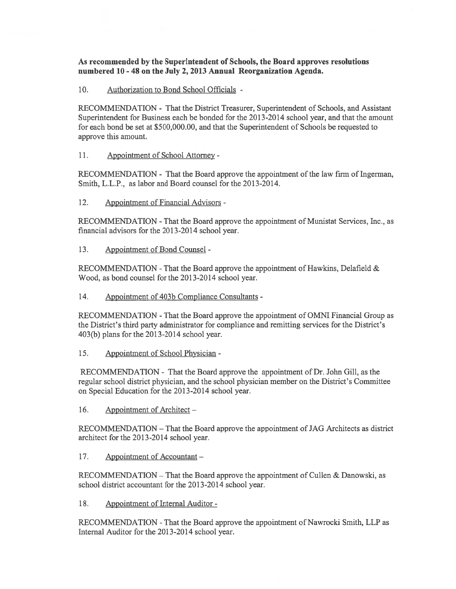As recommended by the Superintendent of Schools, the Board approves resolutions numbered 10 - 48 on the July 2, 2013 Annual Reorganization Agenda.

10. Authorization to Bond School Officials -

RECOMMENDATION - That the District Treasurer, Superintendent of Schools, and Assistant Superintendent for Business each be bonded for the 2013-2014 school year, and that the amount for each bond be set at \$500,000.00, and that the Superintendent of Schools be requested to approve this amount.

11. Appointment of School Attorney -

RECOMMENDATION - That the Board approve the appointment of the law firm of Ingerman, Smith, L.L.P., as labor and Board counsel for the 2013-2014.

12. Appointment of Financial Advisors -

RECOMMENDATION -That the Board approve the appointment of Munistat Services, thc., as financial advisors for the 2013-2014 school year.

13. Appointment of Bond Counsel -

RECOMMENDATION - That the Board approve the appointment of Hawkins, Delafield  $\&$ Wood, as bond counsel for the 2013-2014 school year.

14. Appointment of 403b Compliance Consultants -

RECOMMENDATION -That the Board approve the appointment of OMNI Financial Group as the District's third party administrator for compliance and remitting services for the District's 403(b) plans for the 2013-2014 school year.

15. Appointment of School Physician -

RECOMMENDATION - That the Board approve the appointment of Dr. John Gill, as the regular school district physician, and the school physician member on the District's Committee on Special Education for the 2013-2014 school year.

16. Appointment of Architect —

RECOMMENDATION — That the Board approve the appointment of JAG Architects as district architect for the 2013-2014 school year.

17. Appointment of Accountant —

RECOMMENDATION – That the Board approve the appointment of Cullen & Danowski, as school district accountant for the 2013-2014 school year.

18. Appointment of Internal Auditor -

RECOMMENDATION -That the Board approve the appointment of Nawrocki Smith, LLP as Internal Auditor for the 2013-2014 school year.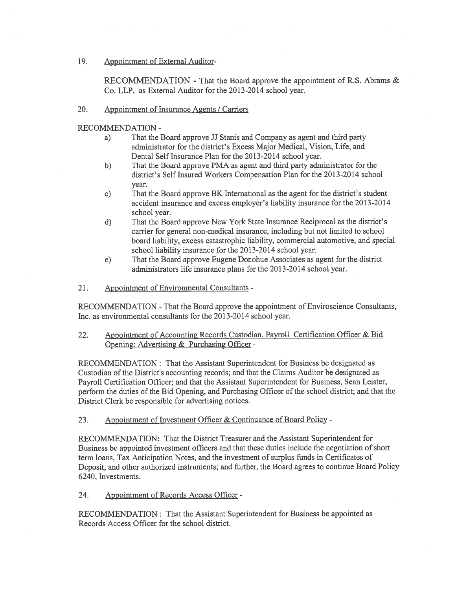19. Appointment of External Auditor-

RECOMMENDATION - That the Board approve the appointment of R.S. Abrams & Co. LLP, as External Auditor for the 2013-2014 school year.

20. Appointment of Insurance Agents / Carriers

RECOMMENDATION -

- a) That the Board approve JJ Stanis and Company as agen<sup>t</sup> and third party administrator for the district's Excess Major Medical, Vision, Life, and Dental Self Insurance Plan for the 2013-2014 school year.
- b) That the Board approve PMA as agen<sup>t</sup> and third party administrator for the district's Self Insured Workers Compensation Plan for the 2013-2014 school year.
- c) That the Board approve BK International as the agen<sup>t</sup> for the district's student accident insurance and excess employer's liability insurance for the 2013-2014 school year.
- d) That the Board approve New York State Insurance Reciprocal as the district's carrier for general non-medical insurance, including but not limited to school board liability, excess catastrophic liability, commercial automotive, and special school liability insurance for the 2013-2014 school year.
- e) That the Board approve Eugene Donohue Associates as agen<sup>t</sup> for the district administrators life insurance plans for the 2013-2014 school year.
- 21. Appointment of Environmental Consultants -

RECOMMENDATION -That the Board approve the appointment of Enviroscience Consultants, Inc. as environmental consultants for the 2013-2014 school year.

22. Appointment of Accounting Records Custodian. Payroll Certification Officer & Bid Opening: Advertising & Purchasing Officer -

RECOMMENDATION: That the Assistant Superintendent for Business be designated as Custodian of the District's accounting records; and that the Claims Auditor be designated as Payroll Certification Officer; and that the Assistant Superintendent for Business, Sean Leister, perform the duties of the Bid Opening, and Purchasing Officer of the school district; and that the District Clerk be responsible for advertising notices.

23. Appointment of Investment Officer & Continuance of Board Policy -

RECOMMENDATION: That the District Treasurer and the Assistant Superintendent for Business be appointed investment officers and that these duties include the negotiation of short term loans, Tax Anticipation Notes, and the investment of surplus funds in Certificates of Deposit, and other authorized instruments; and further, the Board agrees to continue Board Policy 6240, Investments.

24. Appointment of Records Access Officer -

RECOMMENDATION: That the Assistant Superintendent for Business be appointed as Records Access Officer for the school district.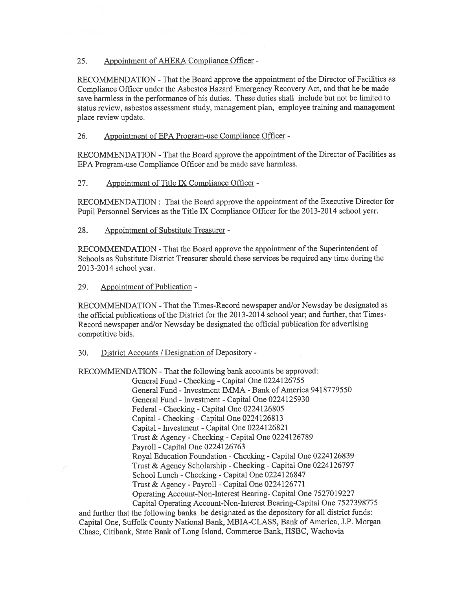## 25. Appointment of AHERA Compliance Officer -

RECOMMENDATION - That the Board approve the appointment of the Director of Facilities as Compliance Officer under the Asbestos Hazard Emergency Recovery Act, and that he be made save harmless in the performance of his duties. These duties shall include but not be limited to status review, asbestos assessment study, managemen<sup>t</sup> plan, employee training and managemen<sup>t</sup> place review update.

## 26. Appointment of EPA Program-use Compliance Officer -

RECOMMENDATION -That the Board approve the appointment of the Director of Facilities as EPA Program-use Compliance Officer and be made save harmless.

## 27. Appointment of Title LX Compliance Officer -

RECOMMENDATION: That the Board approve the appointment of the Executive Director for Pupil Personnel Services as the Title TX Compliance Officer for the 2013-2014 school year.

## 28. Appointment of Substitute Treasurer -

RECOMMENDATION -That the Board approve the appointment of the Superintendent of Schools as Substitute District Treasurer should these services be required any time during the 2013-2014 school year.

### 29. Appointment of Publication -

RECOMMENDATION - That the Times-Record newspaper and/or Newsday be designated as the official publications of the District for the 2013-2014 school year; and further, that Times-Record newspaper and/or Newsday be designated the official publication for advertising competitive bids.

### 30. District Accounts / Designation of Depository -

RECOMMENDATION -That the following bank accounts be approved:

General Fund -Checking -Capital One 0224126755 General Fund - Investment IMMA -Bank of America 9418779550 General Fund - Investment -Capital One 0224125930 Federal -Checking -Capital One 0224126805 Capital -Checking -Capital One 0224126813 Capital - Investment -Capital One 0224126821 Trust & Agency -Checking -Capital One 0224126789 Payroll -Capital One 0224126763 Royal Education Foundation -Checking -Capital One 0224126839 Trust & Agency Scholarship -Checking -Capital One 0224126797 School Lunch -Checking -Capital One 0224126847 Trust & Agency -Payroll -Capital One 0224126771 Operating Account-Non-Interest Bearing- Capital One 7527019227 Capital Operating Account-Non-Interest Bearing-Capital One 7527398775

and further that the following banks be designated as the depository for all district funds: Capital One, Suffolk County National Bank, MBTA-CLASS, Bank of America, J.P. Morgan Chase, Citibank, State Bank of Long Island, Commerce Bank, HSBC, Wachovia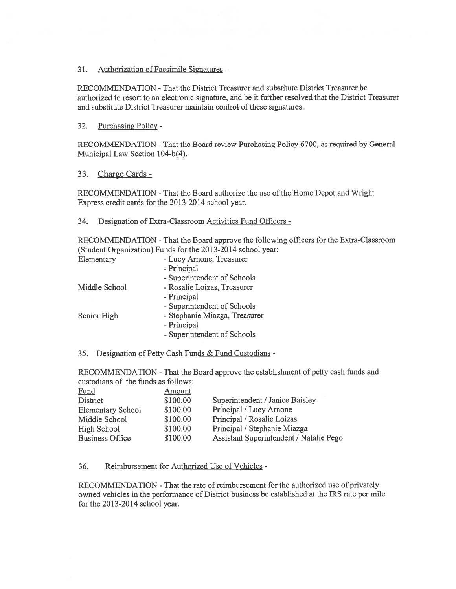31. Authorization of Facsimile Signatures -

RECOMMENDATION -That the District Treasurer and substitute District Treasurer be authorized to resort to an electronic signature, and be it further resolved that the District Treasurer and substitute District Treasurer maintain control of these signatures.

32. Purchasing Policy -

RECOMMENDATION -That the Board review Purchasing Policy 6700, as required by General Municipal Law Section 104-b(4).

33. Charge Cards -

RECOMMENDATION -That the Board authorize the use of the Home Depot and Wright Express credit cards for the 2013-2014 school year.

### 34. Designation of Extra-Classroom Activities Fund Officers -

RECOMMENDATION -That the Board approve the following officers for the Extra-Classroom (Student Organization) Funds for the 2013-2014 school year:

| Elementary    | - Lucy Arnone, Treasurer      |
|---------------|-------------------------------|
|               | - Principal                   |
|               | - Superintendent of Schools   |
| Middle School | - Rosalie Loizas, Treasurer   |
|               | - Principal                   |
|               | - Superintendent of Schools   |
| Senior High   | - Stephanie Miazga, Treasurer |
|               | - Principal                   |
|               | - Superintendent of Schools   |
|               |                               |

35. Designation of Petty Cash Funds & Fund Custodians -

RECOMMENDATION -That the Board approve the establishment of petty cash funds and custodians of the funds as follows:

| Fund                     | Amount   |                                         |
|--------------------------|----------|-----------------------------------------|
| District                 | \$100.00 | Superintendent / Janice Baisley         |
| <b>Elementary School</b> | \$100.00 | Principal / Lucy Arnone                 |
| Middle School            | \$100.00 | Principal / Rosalie Loizas              |
| High School              | \$100.00 | Principal / Stephanie Miazga            |
| <b>Business Office</b>   | \$100.00 | Assistant Superintendent / Natalie Pego |

### 36. Reimbursement for Authorized Use of Vehicles -

RECOMMENDATION -That the rate of reimbursement for the authorized use of privately owned vehicles in the performance of District business be established at the IRS rate per mile for the 2013-2014 school year.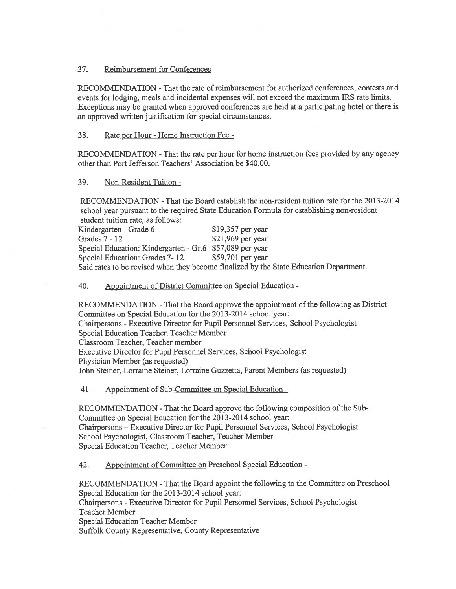## 37. Reimbursement for Conferences -

RECOMMENDATION -That the rate of reimbursement for authorized conferences, contests and events for lodging, meals and incidental expenses will not exceed the maximum IRS rate limits. Exceptions may be granted when approved conferences are held at <sup>a</sup> participating hotel or there is an approved written justification for special circumstances.

## 38. Rate per Hour -Home Instruction Fee -

RECOMMENDATION -That the rate per hour for home instruction fees provided by any agency other than Port Jefferson Teachers' Association be \$40.00.

## 39. Non-Resident Tuition -

RECOMMENDATION -That the Board establish the non-resident tuition rate for the 2013-2014 school year pursuan<sup>t</sup> to the required State Education Formula for establishing non-resident student tuition rate, as follows:

| student tunnon rate, as follows.                                                       |                    |  |  |
|----------------------------------------------------------------------------------------|--------------------|--|--|
| Kindergarten - Grade 6                                                                 | $$19,357$ per year |  |  |
| Grades $7 - 12$                                                                        | $$21,969$ per year |  |  |
| Special Education: Kindergarten - Gr.6 \$57,089 per year                               |                    |  |  |
| Special Education: Grades 7-12                                                         | $$59,701$ per year |  |  |
| Said rates to be revised when they become finalized by the State Education Department. |                    |  |  |

## 40. Appointment of District Committee on Special Education -

RECOMMENDATION -That the Board approve the appointment of the following as District Committee on Special Education for the 2013-2014 school year: Chairpersons -Executive Director for Pupil Personnel Services, School Psychologist Special Education Teacher, Teacher Member Classroom Teacher, Teacher member Executive Director for Pupil Personnel Services, School Psychologist Physician Member (as requested) John Steiner, Lorraine Steiner, Lorraine Guzzetta, Parent Members (as requested)

41. Appointment of Sub-Committee on Special Education -

RECOMMENDATION -That the Board approve the following composition of the Sub Committee on Special Education for the 2013-2014 school year: Chairpersons — Executive Director for Pupil Personnel Services, School Psychologist School Psychologist, Classroom Teacher, Teacher Member Special Education Teacher, Teacher Member

42. Appointment of Committee on Preschool Special Education -

RECOMMENDATION -That the Board appoint the following to the Committee on Preschool Special Education for the 2013-2014 school year:

Chairpersons -Executive Director for Pupil Personnel Services, School Psychologist Teacher Member

Special Education Teacher Member

Suffolk County Representative, County Representative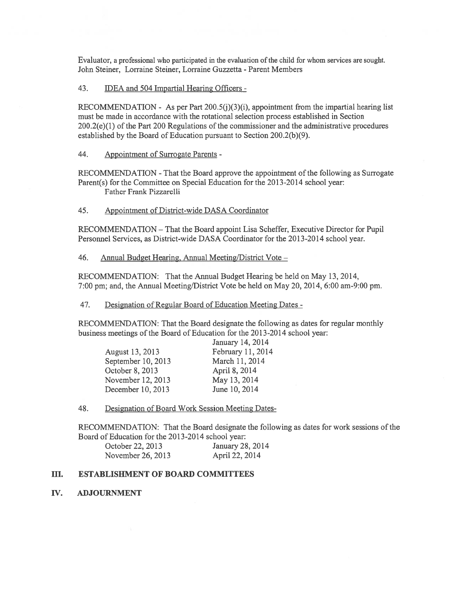Evaluator, a professional who participated in the evaluation of the child for whom services are sought. John Steiner, Lorraine Steiner, Lorraine Guzzetta - Parent Members

43. IDEA and 504 Impartial Hearing Officers -

RECOMMENDATION - As per Part  $200.5(j)(3)(i)$ , appointment from the impartial hearing list must be made in accordance with the rotational selection process established in Section 200.2(e)(1) of the Part 200 Regulations of the commissioner and the administrative procedures established by the Board of Education pursuan<sup>t</sup> to Section 200.2(b)(9).

44. Appointment of Surrogate Parents -

RECOMMENDATION -That the Board approve the appointment of the following as Surrogate Parent(s) for the Committee on Special Education for the 2013-2014 school year: Father Frank Pizzarelli

45. Appointment of District-wide DASA Coordinator

RECOMMENDATION — That the Board appoint Lisa Scheffer, Executive Director for Pupil Personnel Services, as District-wide DASA Coordinator for the 2013-2014 school year.

46. Annual Budget Hearing. Annual Meeting/District Vote —

RECOMMENDATION: That the Annual Budget Hearing be held on May 13, 2014, 7:00 pm; and, the Annual Meeting/District Vote be held on May 20, 2014, 6:00 am-9:00 pm.

47. Designation of Regular Board of Education Meeting Dates -

RECOMMENDATION: That the Board designate the following as dates for regular monthly business meetings of the Board of Education for the 2013-2014 school year:

|                    | January 14, 2014  |
|--------------------|-------------------|
| August 13, 2013    | February 11, 2014 |
| September 10, 2013 | March 11, 2014    |
| October 8, 2013    | April 8, 2014     |
| November 12, 2013  | May 13, 2014      |
| December 10, 2013  | June 10, 2014     |

48. Designation of Board Work Session Meeting Dates

RECOMMENDATION: That the Board designate the following as dates for work sessions of the Board of Education for the 2013-2014 school year:

| October 22, 2013  | January 28, 2014 |
|-------------------|------------------|
| November 26, 2013 | April 22, 2014   |

## III. ESTABLISIIMENT OF BOARD COMMITTEES

IV. ADJOURNMENT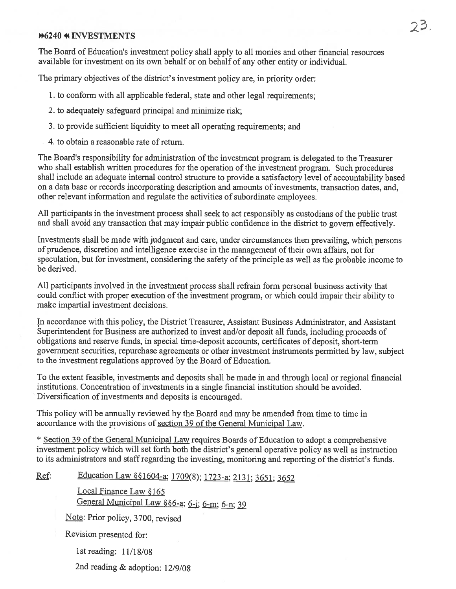## **M6240 4 INVESTMENTS**

The Board of Education's investment policy shall apply to all monies and other financial resources available for investment on its own behalf or on behalf of any other entity or individual.

The primary objectives of the district's investment policy are, in priority order:

- 1. to conform with all applicable federal, state and other legal requirements;
- 2. to adequately safeguard principal and minimize risk;
- 3. to provide sufficient liquidity to meet all operating requirements; and
- 4. to obtain a reasonable rate of return.

The Board's responsibility for administration of the investment program is delegated to the Treasurer who shall establish written procedures for the operation of the investment program. Such procedures shall include an adequate internal control structure to provide <sup>a</sup> satisfactory level of accountability based on <sup>a</sup> data base or records incorporating description and amounts of investments, transaction dates, and, other relevant information and regulate the activities of subordinate employees.

All participants in the investment process shall seek to act responsibly as custodians of the public trust and shall avoid any transaction that may impair public confidence in the district to govern effectively.

Investments shall be made with judgment and care, under circumstances then prevailing, which persons of prudence, discretion and intelligence exercise in the managemen<sup>t</sup> oftheir own affairs, not for speculation, but for investment, considering the safety of the principle as well as the probable income to be derived.

All participants involved in the investment process shall refrain form personal business activity that could conflict with proper execution of the investment program, or which could impair their ability to make impartial investment decisions.

In accordance with this policy, the District Treasurer, Assistant Business Administrator, and Assistant Superintendent for Business are authorized to invest and/or deposit all funds, including proceeds of obligations and reserve funds, in special time-deposit accounts, certificates of deposit, short-term governmen<sup>t</sup> securities, repurchase agreements or other investment instruments permitted by law, subject to the investment regulations approved by the Board of Education.

To the extent feasible, investments and deposits shall be made in and through local or regional financial institutions. Concentration of investments in a single financial institution should be avoided. Diversification of investments and deposits is encouraged.

This policy will be annually reviewed by the Board and may be amended from time to time in accordance with the provisions of section 39 of the General Municipal Law.

\* Section 39 of the General Municipal Law requires Boards of Education to adopt <sup>a</sup> comprehensive investment policy which will set forth both the district's general operative policy as well as instruction to its administrators and staffregarding the investing, monitoring and reporting of the district's funds.

Ref: Education Law § § 1604-a; 1709(8); 1723-a; 2131; 3651; 3652

Local Finance Law §165 General Municipal Law §§6-a; 6-j; 6-m; 6-n; 39

Note: Prior policy, 3700, revised

Revision presented for:

1st reading: 11/18/08

2nd reading & adoption: 12/9/08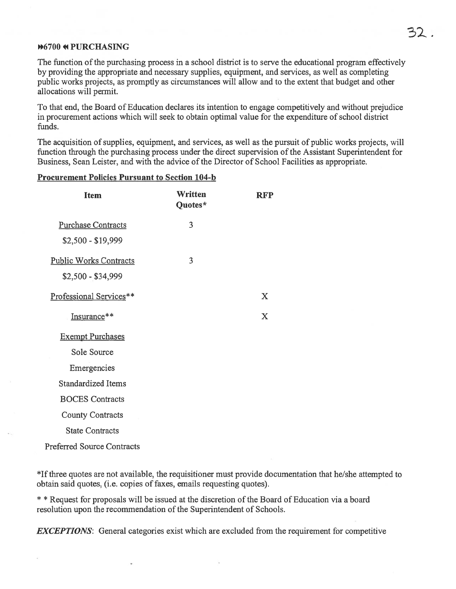## \*67OO 41 PURCHASING

The function of the purchasing process in a school district is to serve the educational program effectively by providing the appropriate and necessary supplies, equipment, and services, as well as completing public works projects, as promptly as circumstances will allow and to the extent that budget and other allocations will permit.

To that end, the Board of Education declares its intention to engage competitively and without prejudice in procuremen<sup>t</sup> actions which will seek to obtain optimal value for the expenditure of school district funds.

The acquisition of supplies, equipment, and services, as well as the pursuit of public works projects, will function through the purchasing process under the direct supervision of the Assistant Superintendent for Business, Sean Leister, and with the advice of the Director of School Facilities as appropriate.

### Procurement Policies Pursuant to Section 104-b

| <b>Item</b>                                         | Written<br>Quotes* | <b>RFP</b> |
|-----------------------------------------------------|--------------------|------------|
| <b>Purchase Contracts</b><br>\$2,500 - \$19,999     | 3                  |            |
| <b>Public Works Contracts</b><br>$$2,500 - $34,999$ | 3                  |            |
| Professional Services**                             |                    | X          |
| Insurance**                                         |                    | X          |
| <b>Exempt Purchases</b>                             |                    |            |
| Sole Source                                         |                    |            |
| Emergencies                                         |                    |            |
| <b>Standardized Items</b>                           |                    |            |
| <b>BOCES</b> Contracts                              |                    |            |
| <b>County Contracts</b>                             |                    |            |
| <b>State Contracts</b>                              |                    |            |

Preferred Source Contracts

\*If three quotes are not available, the requisitioner must provide documentation that he/she attempted to obtain said quotes, (i.e. copies of faxes, emails requesting quotes).

\* \* Request for proposals will be issued at the discretion of the Board of Education via a board resolution upon the recommendation of the Superintendent of Schools.

**EXCEPTIONS:** General categories exist which are excluded from the requirement for competitive